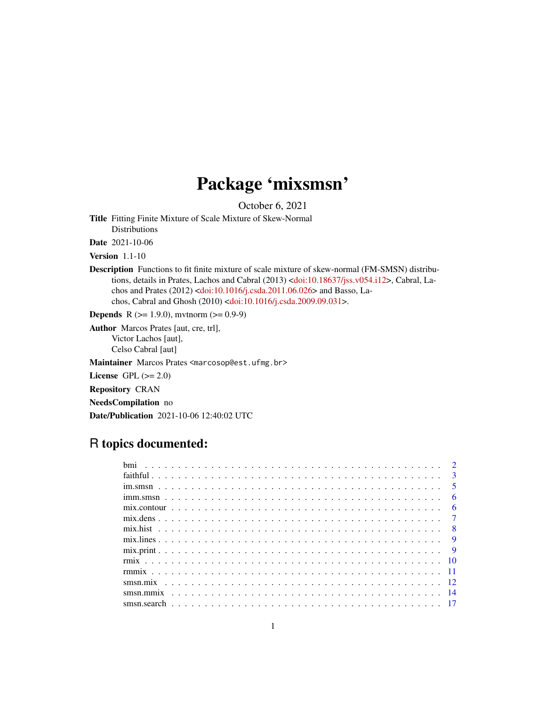## Package 'mixsmsn'

October 6, 2021

<span id="page-0-0"></span>Title Fitting Finite Mixture of Scale Mixture of Skew-Normal Distributions

Date 2021-10-06

Version 1.1-10

Description Functions to fit finite mixture of scale mixture of skew-normal (FM-SMSN) distributions, details in Prates, Lachos and Cabral (2013) [<doi:10.18637/jss.v054.i12>](https://doi.org/10.18637/jss.v054.i12), Cabral, Lachos and Prates (2012) [<doi:10.1016/j.csda.2011.06.026>](https://doi.org/10.1016/j.csda.2011.06.026) and Basso, Lachos, Cabral and Ghosh (2010) [<doi:10.1016/j.csda.2009.09.031>](https://doi.org/10.1016/j.csda.2009.09.031).

**Depends** R ( $>= 1.9.0$ ), mvtnorm ( $>= 0.9-9$ )

Author Marcos Prates [aut, cre, trl], Victor Lachos [aut], Celso Cabral [aut]

Maintainer Marcos Prates <marcosop@est.ufmg.br>

License GPL  $(>= 2.0)$ 

Repository CRAN

NeedsCompilation no

Date/Publication 2021-10-06 12:40:02 UTC

## R topics documented:

|                                                                                                                          |  |  |  |  |  |  |  |  |  |  |  |  |  |  |  |  |  |  |  | $\overline{3}$ |
|--------------------------------------------------------------------------------------------------------------------------|--|--|--|--|--|--|--|--|--|--|--|--|--|--|--|--|--|--|--|----------------|
|                                                                                                                          |  |  |  |  |  |  |  |  |  |  |  |  |  |  |  |  |  |  |  | $\sqrt{5}$     |
|                                                                                                                          |  |  |  |  |  |  |  |  |  |  |  |  |  |  |  |  |  |  |  | 6              |
| $mixcontour \dots \dots \dots \dots \dots \dots \dots \dots \dots \dots \dots \dots \dots \dots \dots \dots \dots \dots$ |  |  |  |  |  |  |  |  |  |  |  |  |  |  |  |  |  |  |  | 6              |
|                                                                                                                          |  |  |  |  |  |  |  |  |  |  |  |  |  |  |  |  |  |  |  |                |
|                                                                                                                          |  |  |  |  |  |  |  |  |  |  |  |  |  |  |  |  |  |  |  | $\overline{8}$ |
|                                                                                                                          |  |  |  |  |  |  |  |  |  |  |  |  |  |  |  |  |  |  |  | $\overline{q}$ |
|                                                                                                                          |  |  |  |  |  |  |  |  |  |  |  |  |  |  |  |  |  |  |  | $\overline{Q}$ |
|                                                                                                                          |  |  |  |  |  |  |  |  |  |  |  |  |  |  |  |  |  |  |  | -10            |
|                                                                                                                          |  |  |  |  |  |  |  |  |  |  |  |  |  |  |  |  |  |  |  |                |
|                                                                                                                          |  |  |  |  |  |  |  |  |  |  |  |  |  |  |  |  |  |  |  |                |
|                                                                                                                          |  |  |  |  |  |  |  |  |  |  |  |  |  |  |  |  |  |  |  | -14            |
|                                                                                                                          |  |  |  |  |  |  |  |  |  |  |  |  |  |  |  |  |  |  |  |                |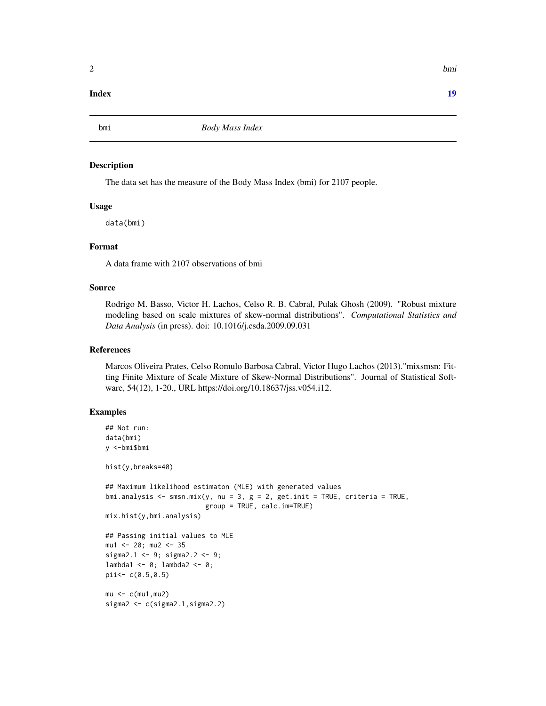### <span id="page-1-0"></span>**Index** 2008 **Index** 2008 **Index**

bmi *Body Mass Index*

#### Description

The data set has the measure of the Body Mass Index (bmi) for 2107 people.

### Usage

data(bmi)

### Format

A data frame with 2107 observations of bmi

### Source

Rodrigo M. Basso, Victor H. Lachos, Celso R. B. Cabral, Pulak Ghosh (2009). "Robust mixture modeling based on scale mixtures of skew-normal distributions". *Computational Statistics and Data Analysis* (in press). doi: 10.1016/j.csda.2009.09.031

### References

Marcos Oliveira Prates, Celso Romulo Barbosa Cabral, Victor Hugo Lachos (2013)."mixsmsn: Fitting Finite Mixture of Scale Mixture of Skew-Normal Distributions". Journal of Statistical Software, 54(12), 1-20., URL https://doi.org/10.18637/jss.v054.i12.

```
## Not run:
data(bmi)
y <-bmi$bmi
hist(y,breaks=40)
## Maximum likelihood estimaton (MLE) with generated values
bmi.analysis <- smsn.mix(y, nu = 3, g = 2, get.init = TRUE, criteria = TRUE,
                         group = TRUE, calc.im=TRUE)
mix.hist(y,bmi.analysis)
## Passing initial values to MLE
mu1 <- 20; mu2 <- 35
sigma2.1 <- 9; sigma2.2 <- 9;
lambda1 <- 0; lambda2 <- 0;
pii<- c(0.5,0.5)
mu < -c(mu1,mu2)
sigma2 <- c(sigma2.1,sigma2.2)
```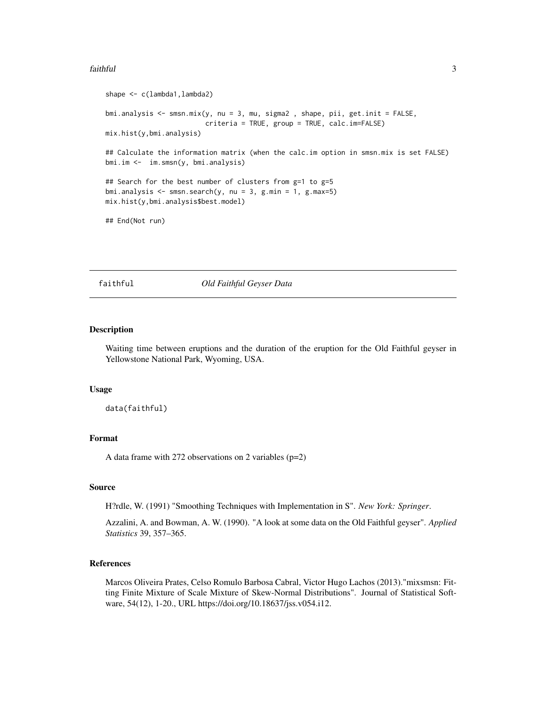#### <span id="page-2-0"></span>faithful 3

```
shape <- c(lambda1,lambda2)
bmi.analysis \leq smsn.mix(y, nu = 3, mu, sigma2, shape, pii, get.init = FALSE,
                         criteria = TRUE, group = TRUE, calc.im=FALSE)
mix.hist(y,bmi.analysis)
## Calculate the information matrix (when the calc.im option in smsn.mix is set FALSE)
bmi.im <- im.smsn(y, bmi.analysis)
## Search for the best number of clusters from g=1 to g=5
bmi.analysis \leq smsn.search(y, nu = 3, g.min = 1, g.max=5)
mix.hist(y,bmi.analysis$best.model)
## End(Not run)
```
faithful *Old Faithful Geyser Data*

#### **Description**

Waiting time between eruptions and the duration of the eruption for the Old Faithful geyser in Yellowstone National Park, Wyoming, USA.

#### Usage

data(faithful)

### Format

A data frame with 272 observations on 2 variables (p=2)

#### Source

H?rdle, W. (1991) "Smoothing Techniques with Implementation in S". *New York: Springer*.

Azzalini, A. and Bowman, A. W. (1990). "A look at some data on the Old Faithful geyser". *Applied Statistics* 39, 357–365.

### References

Marcos Oliveira Prates, Celso Romulo Barbosa Cabral, Victor Hugo Lachos (2013)."mixsmsn: Fitting Finite Mixture of Scale Mixture of Skew-Normal Distributions". Journal of Statistical Software, 54(12), 1-20., URL https://doi.org/10.18637/jss.v054.i12.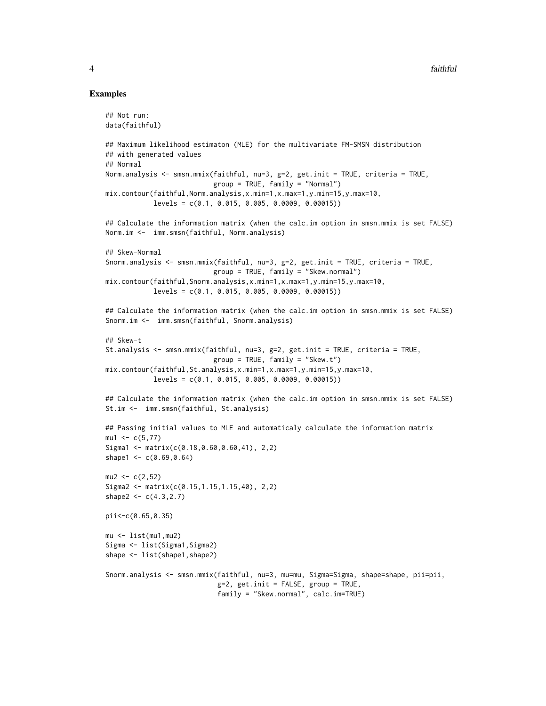```
## Not run:
data(faithful)
## Maximum likelihood estimaton (MLE) for the multivariate FM-SMSN distribution
## with generated values
## Normal
Norm.analysis <- smsn.mmix(faithful, nu=3, g=2, get.init = TRUE, criteria = TRUE,
                           group = TRUE, family = "Normal")
mix.contour(faithful,Norm.analysis,x.min=1,x.max=1,y.min=15,y.max=10,
            levels = c(0.1, 0.015, 0.005, 0.0009, 0.00015))
## Calculate the information matrix (when the calc.im option in smsn.mmix is set FALSE)
Norm.im <- imm.smsn(faithful, Norm.analysis)
## Skew-Normal
Snorm.analysis <- smsn.mmix(faithful, nu=3, g=2, get.init = TRUE, criteria = TRUE,
                           group = TRUE, family = "Skew.normal")
mix.contour(faithful,Snorm.analysis,x.min=1,x.max=1,y.min=15,y.max=10,
            levels = c(0.1, 0.015, 0.005, 0.0009, 0.00015))
## Calculate the information matrix (when the calc.im option in smsn.mmix is set FALSE)
Snorm.im <- imm.smsn(faithful, Snorm.analysis)
## Skew-t
St.analysis <- smsn.mmix(faithful, nu=3, g=2, get.init = TRUE, criteria = TRUE,
                           group = TRUE, family = "Skew.t")mix.contour(faithful,St.analysis,x.min=1,x.max=1,y.min=15,y.max=10,
            levels = c(0.1, 0.015, 0.005, 0.0009, 0.00015))## Calculate the information matrix (when the calc.im option in smsn.mmix is set FALSE)
St.im <- imm.smsn(faithful, St.analysis)
## Passing initial values to MLE and automaticaly calculate the information matrix
mu1 < -c(5, 77)Sigma1 <- matrix(c(0.18, 0.60, 0.60, 41), 2,2)
shape1 <- c(0.69, 0.64)mu2 < -c(2,52)Sigma2 <- matrix(c(0.15,1.15,1.15,40), 2,2)
shape2 <- c(4.3, 2.7)pii<-c(0.65,0.35)
mu < - list(mu1, mu2)
Sigma <- list(Sigma1, Sigma2)
shape <- list(shape1,shape2)
Snorm.analysis <- smsn.mmix(faithful, nu=3, mu=mu, Sigma=Sigma, shape=shape, pii=pii,
                            g=2, get.init = FALSE, group = TRUE,family = "Skew.normal", calc.im=TRUE)
```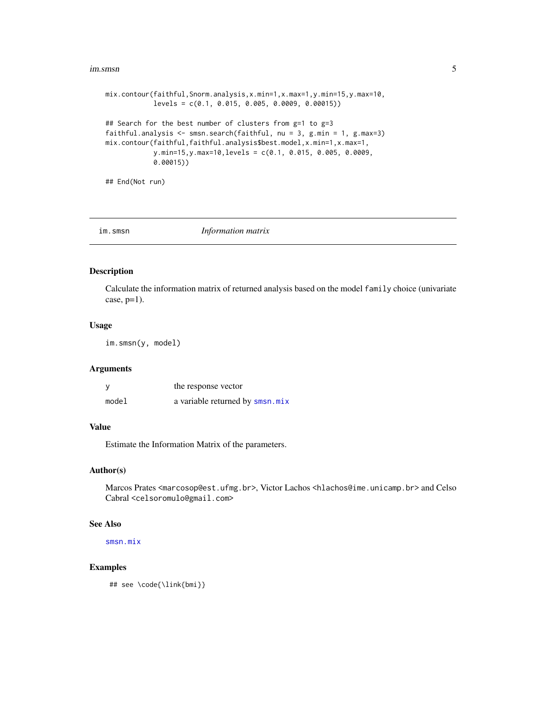#### <span id="page-4-0"></span>im.smsn 5

```
mix.contour(faithful,Snorm.analysis,x.min=1,x.max=1,y.min=15,y.max=10,
            levels = c(0.1, 0.015, 0.005, 0.0009, 0.00015))
## Search for the best number of clusters from g=1 to g=3
faithful.analysis <- smsn.search(faithful, nu = 3, g.min = 1, g.max=3)
mix.contour(faithful,faithful.analysis$best.model,x.min=1,x.max=1,
            y.min=15,y.max=10,levels = c(0.1, 0.015, 0.005, 0.0009,
            0.00015))
```
## End(Not run)

<span id="page-4-1"></span>im.smsn *Information matrix*

### Description

Calculate the information matrix of returned analysis based on the model family choice (univariate  $case, p=1$ ).

#### Usage

im.smsn(y, model)

#### Arguments

| y     | the response vector             |
|-------|---------------------------------|
| model | a variable returned by smsn.mix |

### Value

Estimate the Information Matrix of the parameters.

#### Author(s)

Marcos Prates <marcosop@est.ufmg.br>, Victor Lachos <hlachos@ime.unicamp.br> and Celso Cabral <celsoromulo@gmail.com>

### See Also

[smsn.mix](#page-11-1)

#### Examples

## see \code{\link{bmi}}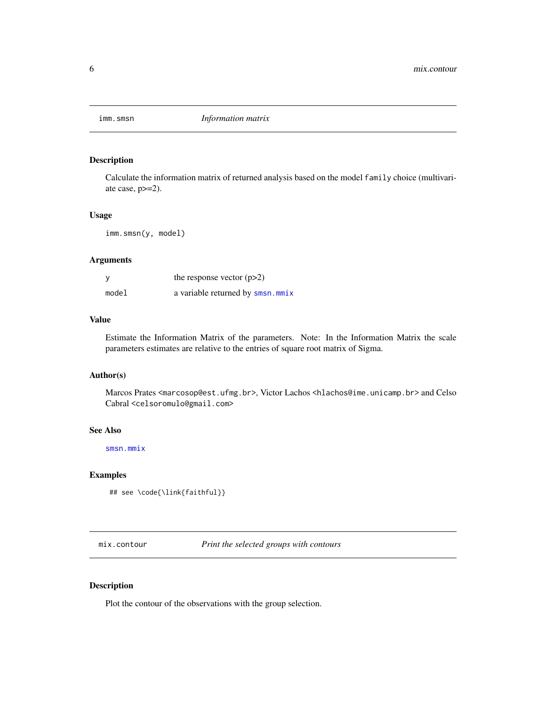<span id="page-5-0"></span>

Calculate the information matrix of returned analysis based on the model family choice (multivariate case, p>=2).

### Usage

imm.smsn(y, model)

### Arguments

| у     | the response vector $(p>2)$      |
|-------|----------------------------------|
| model | a variable returned by smsn.mmix |

### Value

Estimate the Information Matrix of the parameters. Note: In the Information Matrix the scale parameters estimates are relative to the entries of square root matrix of Sigma.

### Author(s)

Marcos Prates <marcosop@est.ufmg.br>, Victor Lachos <hlachos@ime.unicamp.br> and Celso Cabral <celsoromulo@gmail.com>

### See Also

[smsn.mmix](#page-13-1)

### Examples

```
## see \code{\link{faithful}}
```
<span id="page-5-1"></span>mix.contour *Print the selected groups with contours*

### Description

Plot the contour of the observations with the group selection.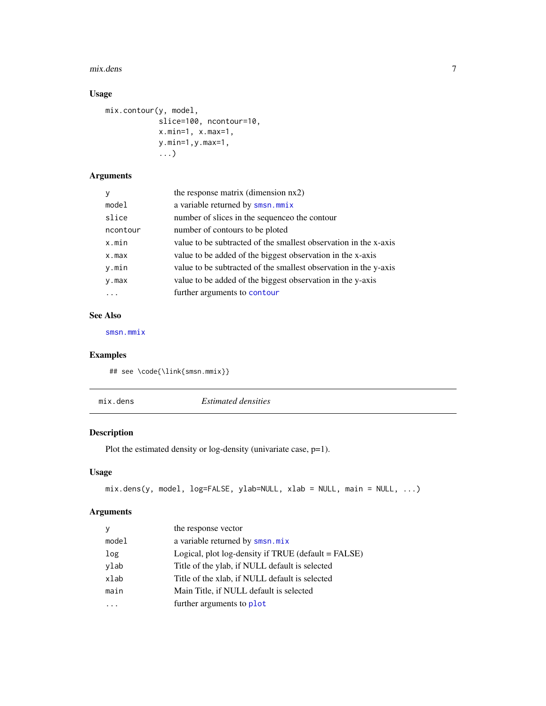#### <span id="page-6-0"></span>mix.dens 7

### Usage

```
mix.contour(y, model,
            slice=100, ncontour=10,
            x.min=1, x.max=1,
            y.min=1,y.max=1,
            ...)
```
### Arguments

| the response matrix (dimension nx2)                              |
|------------------------------------------------------------------|
| a variable returned by smsn.mmix                                 |
| number of slices in the sequence the contour                     |
| number of contours to be ploted                                  |
| value to be subtracted of the smallest observation in the x-axis |
| value to be added of the biggest observation in the x-axis       |
| value to be subtracted of the smallest observation in the y-axis |
| value to be added of the biggest observation in the y-axis       |
| further arguments to contour                                     |
|                                                                  |

### See Also

[smsn.mmix](#page-13-1)

### Examples

## see \code{\link{smsn.mmix}}

| mix.dens | <i>Estimated densities</i> |  |
|----------|----------------------------|--|
|----------|----------------------------|--|

### Description

Plot the estimated density or log-density (univariate case, p=1).

### Usage

```
mix.dens(y, model, log=FALSE, ylab=NULL, xlab = NULL, main = NULL, ...)
```
### Arguments

| y     | the response vector                                 |
|-------|-----------------------------------------------------|
| model | a variable returned by smsn.mix                     |
| log   | Logical, plot log-density if TRUE (default = FALSE) |
| ylab  | Title of the ylab, if NULL default is selected      |
| xlab  | Title of the xlab, if NULL default is selected      |
| main  | Main Title, if NULL default is selected             |
|       | further arguments to plot                           |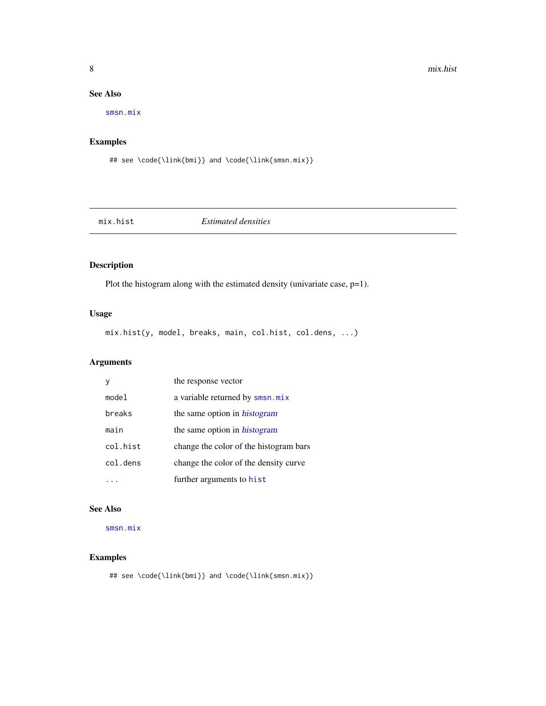### See Also

[smsn.mix](#page-11-1)

### Examples

```
## see \code{\link{bmi}} and \code{\link{smsn.mix}}
```
<span id="page-7-1"></span>mix.hist *Estimated densities*

### Description

Plot the histogram along with the estimated density (univariate case, p=1).

### Usage

mix.hist(y, model, breaks, main, col.hist, col.dens, ...)

### Arguments

|          | the response vector                    |
|----------|----------------------------------------|
| model    | a variable returned by smsn.mix        |
| breaks   | the same option in <i>histogram</i>    |
| main     | the same option in <i>histogram</i>    |
| col.hist | change the color of the histogram bars |
| col.dens | change the color of the density curve  |
|          | further arguments to hist              |

### See Also

[smsn.mix](#page-11-1)

### Examples

## see \code{\link{bmi}} and \code{\link{smsn.mix}}

<span id="page-7-0"></span>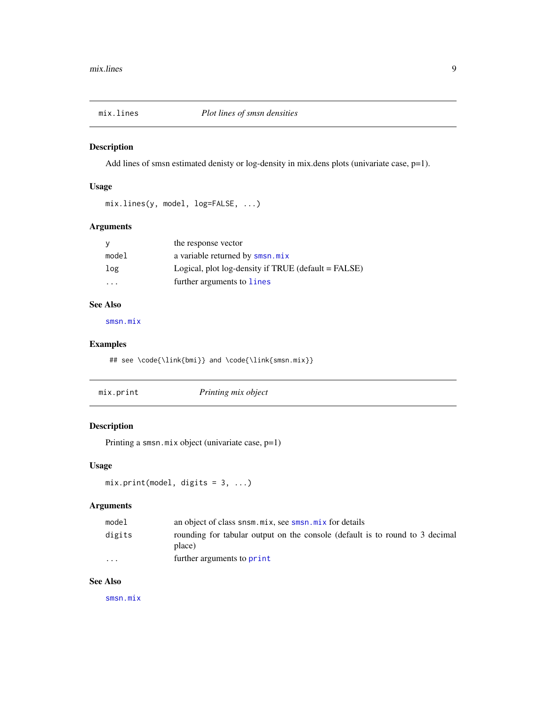<span id="page-8-0"></span>

Add lines of smsn estimated denisty or log-density in mix.dens plots (univariate case, p=1).

### Usage

```
mix.lines(y, model, log=FALSE, ...)
```
### Arguments

| <b>V</b> | the response vector                                 |
|----------|-----------------------------------------------------|
| model    | a variable returned by smsn.mix                     |
| log      | Logical, plot log-density if TRUE (default = FALSE) |
|          | further arguments to lines                          |

### See Also

[smsn.mix](#page-11-1)

### Examples

## see \code{\link{bmi}} and \code{\link{smsn.mix}}

| mix.print | Printing mix object |  |
|-----------|---------------------|--|
|-----------|---------------------|--|

### Description

Printing a smsn.mix object (univariate case, p=1)

### Usage

 $mix.print(model, digits = 3, ...)$ 

### Arguments

| model   | an object of class snsm.mix, see smsn.mix for details                                  |
|---------|----------------------------------------------------------------------------------------|
| digits  | rounding for tabular output on the console (default is to round to 3 decimal<br>place) |
| $\cdot$ | further arguments to <b>print</b>                                                      |

### See Also

[smsn.mix](#page-11-1)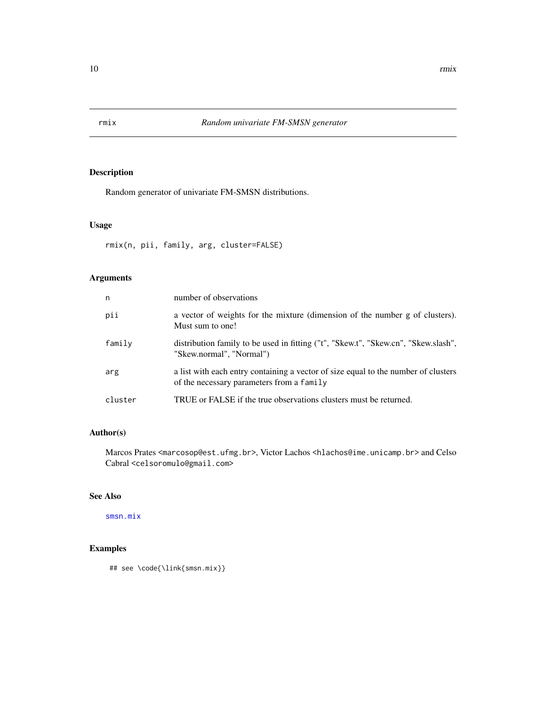<span id="page-9-0"></span>

Random generator of univariate FM-SMSN distributions.

### Usage

rmix(n, pii, family, arg, cluster=FALSE)

### Arguments

| n       | number of observations                                                                                                          |
|---------|---------------------------------------------------------------------------------------------------------------------------------|
| pii     | a vector of weights for the mixture (dimension of the number g of clusters).<br>Must sum to one!                                |
| family  | distribution family to be used in fitting ("t", "Skew.t", "Skew.cn", "Skew.slash",<br>"Skew.normal", "Normal")                  |
| arg     | a list with each entry containing a vector of size equal to the number of clusters<br>of the necessary parameters from a family |
| cluster | TRUE or FALSE if the true observations clusters must be returned.                                                               |

### Author(s)

Marcos Prates <marcosop@est.ufmg.br>, Victor Lachos <hlachos@ime.unicamp.br> and Celso Cabral <celsoromulo@gmail.com>

### See Also

[smsn.mix](#page-11-1)

```
## see \code{\link{smsn.mix}}
```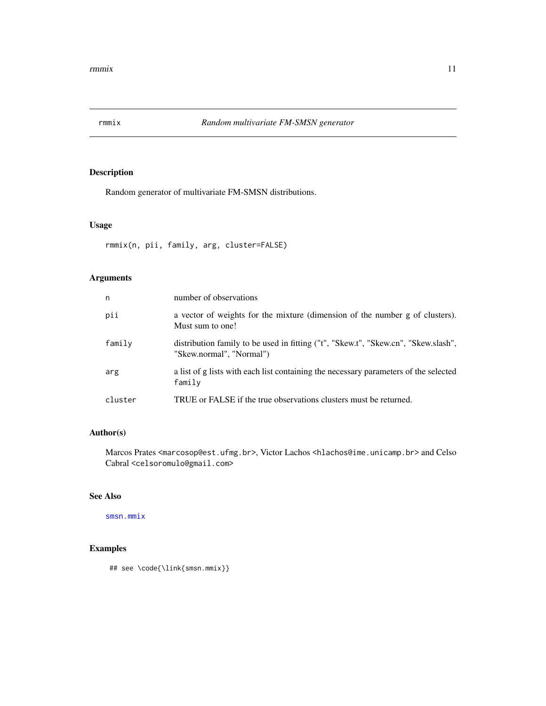<span id="page-10-1"></span><span id="page-10-0"></span>

Random generator of multivariate FM-SMSN distributions.

### Usage

rmmix(n, pii, family, arg, cluster=FALSE)

### Arguments

| n       | number of observations                                                                                         |
|---------|----------------------------------------------------------------------------------------------------------------|
| pii     | a vector of weights for the mixture (dimension of the number g of clusters).<br>Must sum to one!               |
| family  | distribution family to be used in fitting ("t", "Skew.t", "Skew.cn", "Skew.slash",<br>"Skew.normal", "Normal") |
| arg     | a list of g lists with each list containing the necessary parameters of the selected<br>family                 |
| cluster | TRUE or FALSE if the true observations clusters must be returned.                                              |

### Author(s)

Marcos Prates <marcosop@est.ufmg.br>, Victor Lachos <hlachos@ime.unicamp.br> and Celso Cabral <celsoromulo@gmail.com>

### See Also

[smsn.mmix](#page-13-1)

### Examples

## see \code{\link{smsn.mmix}}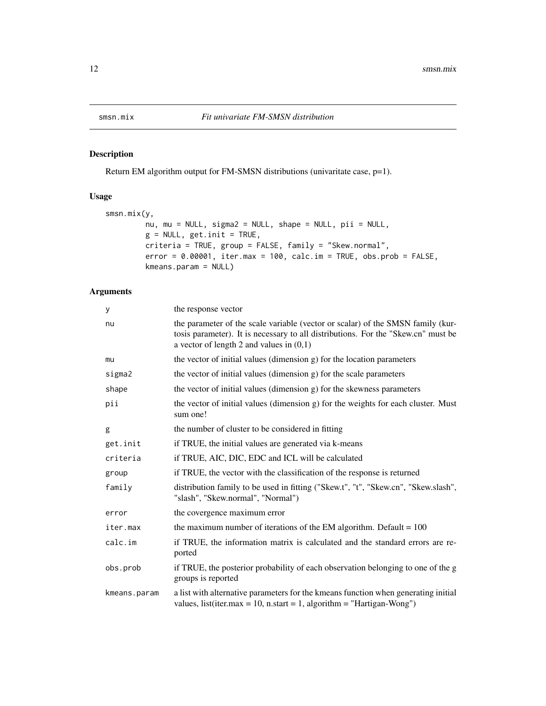<span id="page-11-1"></span><span id="page-11-0"></span>

Return EM algorithm output for FM-SMSN distributions (univaritate case, p=1).

### Usage

```
smsn.mix(y,
        nu, mu = NULL, sigma2 = NULL, shape = NULL, pii = NULL,
        g = NULL, get.init = TRUE,
        criteria = TRUE, group = FALSE, family = "Skew.normal",
        error = 0.00001, iter.max = 100, calc.in = TRUE, obs.pop = FALSE,
        kmeans.param = NULL)
```
### Arguments

| У            | the response vector                                                                                                                                                                                                |
|--------------|--------------------------------------------------------------------------------------------------------------------------------------------------------------------------------------------------------------------|
| nu           | the parameter of the scale variable (vector or scalar) of the SMSN family (kur-<br>tosis parameter). It is necessary to all distributions. For the "Skew.cn" must be<br>a vector of length 2 and values in $(0,1)$ |
| mu           | the vector of initial values (dimension g) for the location parameters                                                                                                                                             |
| sigma2       | the vector of initial values (dimension g) for the scale parameters                                                                                                                                                |
| shape        | the vector of initial values (dimension g) for the skewness parameters                                                                                                                                             |
| pii          | the vector of initial values (dimension g) for the weights for each cluster. Must<br>sum one!                                                                                                                      |
| g            | the number of cluster to be considered in fitting                                                                                                                                                                  |
| get.init     | if TRUE, the initial values are generated via k-means                                                                                                                                                              |
| criteria     | if TRUE, AIC, DIC, EDC and ICL will be calculated                                                                                                                                                                  |
| group        | if TRUE, the vector with the classification of the response is returned                                                                                                                                            |
| family       | distribution family to be used in fitting ("Skew.t", "t", "Skew.cn", "Skew.slash",<br>"slash", "Skew.normal", "Normal")                                                                                            |
| error        | the covergence maximum error                                                                                                                                                                                       |
| iter.max     | the maximum number of iterations of the EM algorithm. Default $= 100$                                                                                                                                              |
| calc.im      | if TRUE, the information matrix is calculated and the standard errors are re-<br>ported                                                                                                                            |
| obs.prob     | if TRUE, the posterior probability of each observation belonging to one of the g<br>groups is reported                                                                                                             |
| kmeans.param | a list with alternative parameters for the kmeans function when generating initial<br>values, list(iter.max = 10, n.start = 1, algorithm = "Hartigan-Wong")                                                        |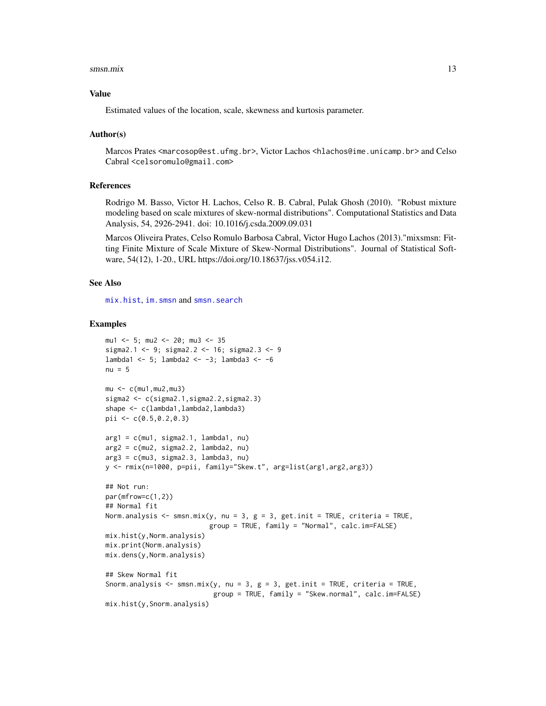#### <span id="page-12-0"></span>smsn.mix 13

#### Value

Estimated values of the location, scale, skewness and kurtosis parameter.

### Author(s)

Marcos Prates <marcosop@est.ufmg.br>, Victor Lachos <hlachos@ime.unicamp.br> and Celso Cabral <celsoromulo@gmail.com>

### References

Rodrigo M. Basso, Victor H. Lachos, Celso R. B. Cabral, Pulak Ghosh (2010). "Robust mixture modeling based on scale mixtures of skew-normal distributions". Computational Statistics and Data Analysis, 54, 2926-2941. doi: 10.1016/j.csda.2009.09.031

Marcos Oliveira Prates, Celso Romulo Barbosa Cabral, Victor Hugo Lachos (2013)."mixsmsn: Fitting Finite Mixture of Scale Mixture of Skew-Normal Distributions". Journal of Statistical Software, 54(12), 1-20., URL https://doi.org/10.18637/jss.v054.i12.

### See Also

[mix.hist](#page-7-1), [im.smsn](#page-4-1) and [smsn.search](#page-16-1)

```
mu1 <- 5; mu2 <- 20; mu3 <- 35
sigma2.1 <- 9; sigma2.2 <- 16; sigma2.3 <- 9
lambda1 <- 5; lambda2 <- -3; lambda3 <- -6
nu = 5mu < -c(mu1,mu2,mu3)
sigma2 <- c(sigma2.1,sigma2.2,sigma2.3)
shape <- c(lambda1,lambda2,lambda3)
pii <- c(0.5,0.2,0.3)
arg1 = c(mu1, sigma2.1, lambda1, nu)arg2 = c(mu2, sigma2.2, lambda2, nu)arg3 = c(mu3, sigma2.3, lambda3, nu)y <- rmix(n=1000, p=pii, family="Skew.t", arg=list(arg1,arg2,arg3))
## Not run:
par(mfrow=c(1,2))
## Normal fit
Norm.analysis <- smsn.mix(y, nu = 3, g = 3, get.init = TRUE, criteria = TRUE,
                          group = TRUE, family = "Normal", calc.im=FALSE)
mix.hist(y,Norm.analysis)
mix.print(Norm.analysis)
mix.dens(y,Norm.analysis)
## Skew Normal fit
Snorm.analysis <- smsn.mix(y, nu = 3, g = 3, get.init = TRUE, criteria = TRUE,
                           group = TRUE, family = "Skew.normal", calc.im=FALSE)
mix.hist(y,Snorm.analysis)
```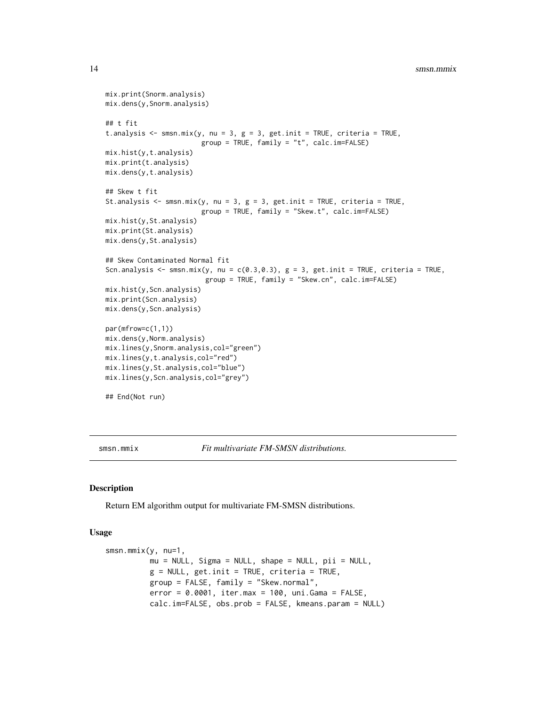```
mix.print(Snorm.analysis)
mix.dens(y,Snorm.analysis)
## t fit
t.analysis <- smsn.mix(y, nu = 3, g = 3, get.init = TRUE, criteria = TRUE,
                        group = TRUE, family = "t", calc.im=FALSE)
mix.hist(y,t.analysis)
mix.print(t.analysis)
mix.dens(y,t.analysis)
## Skew t fit
St.analysis <- smsn.mix(y, nu = 3, g = 3, get.init = TRUE, criteria = TRUE,
                        group = TRUE, family = "Skew.t", calc.im=FALSE)
mix.hist(y,St.analysis)
mix.print(St.analysis)
mix.dens(y,St.analysis)
## Skew Contaminated Normal fit
Scn.analysis <- smsn.mix(y, nu = c(0.3, 0.3), g = 3, get.init = TRUE, criteria = TRUE,
                         group = TRUE, family = "Skew.cn", calc.im=FALSE)
mix.hist(y,Scn.analysis)
mix.print(Scn.analysis)
mix.dens(y,Scn.analysis)
par(mfrow=c(1,1))
mix.dens(y,Norm.analysis)
mix.lines(y,Snorm.analysis,col="green")
mix.lines(y,t.analysis,col="red")
mix.lines(y,St.analysis,col="blue")
mix.lines(y,Scn.analysis,col="grey")
## End(Not run)
```
<span id="page-13-1"></span>smsn.mmix *Fit multivariate FM-SMSN distributions.*

#### Description

Return EM algorithm output for multivariate FM-SMSN distributions.

### Usage

```
smsn.mmix(y, nu=1,
         mu = NULL, Sigma = NULL, shape = NULL, pii = NULL,
          g = NULL, get.init = TRUE, criteria = TRUE,
         group = FALSE, family = "Skew.normal",
          error = 0.0001, iter.max = 100, uni.Gama = FALSE,
          calc.im=FALSE, obs.prob = FALSE, kmeans.param = NULL)
```
<span id="page-13-0"></span>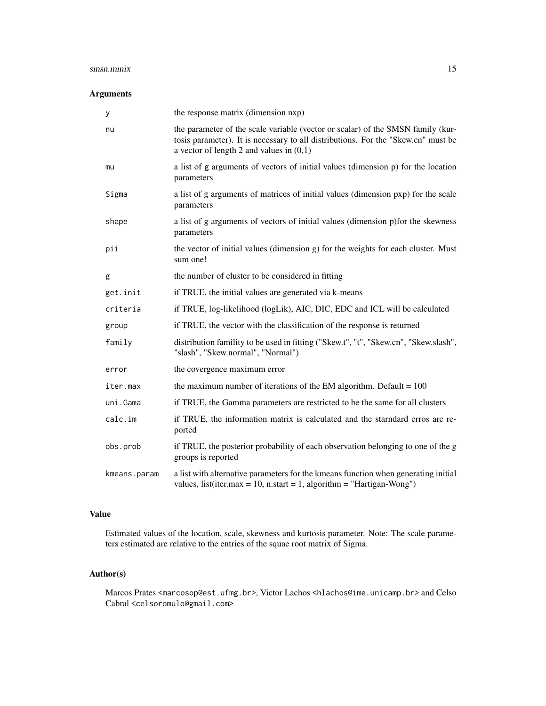#### smsn.mmix 15

### Arguments

| У            | the response matrix (dimension nxp)                                                                                                                                                                                |
|--------------|--------------------------------------------------------------------------------------------------------------------------------------------------------------------------------------------------------------------|
| nu           | the parameter of the scale variable (vector or scalar) of the SMSN family (kur-<br>tosis parameter). It is necessary to all distributions. For the "Skew.cn" must be<br>a vector of length 2 and values in $(0,1)$ |
| mu           | a list of g arguments of vectors of initial values (dimension p) for the location<br>parameters                                                                                                                    |
| Sigma        | a list of g arguments of matrices of initial values (dimension pxp) for the scale<br>parameters                                                                                                                    |
| shape        | a list of g arguments of vectors of initial values (dimension p)for the skewness<br>parameters                                                                                                                     |
| pii          | the vector of initial values (dimension g) for the weights for each cluster. Must<br>sum one!                                                                                                                      |
| g            | the number of cluster to be considered in fitting                                                                                                                                                                  |
| get.init     | if TRUE, the initial values are generated via k-means                                                                                                                                                              |
| criteria     | if TRUE, log-likelihood (logLik), AIC, DIC, EDC and ICL will be calculated                                                                                                                                         |
| group        | if TRUE, the vector with the classification of the response is returned                                                                                                                                            |
| family       | distribution famility to be used in fitting ("Skew.t", "t", "Skew.cn", "Skew.slash",<br>"slash", "Skew.normal", "Normal")                                                                                          |
| error        | the covergence maximum error                                                                                                                                                                                       |
| iter.max     | the maximum number of iterations of the EM algorithm. Default $= 100$                                                                                                                                              |
| uni.Gama     | if TRUE, the Gamma parameters are restricted to be the same for all clusters                                                                                                                                       |
| calc.im      | if TRUE, the information matrix is calculated and the starndard erros are re-<br>ported                                                                                                                            |
| obs.prob     | if TRUE, the posterior probability of each observation belonging to one of the g<br>groups is reported                                                                                                             |
| kmeans.param | a list with alternative parameters for the kmeans function when generating initial<br>values, list(iter.max = 10, n.start = 1, algorithm = "Hartigan-Wong")                                                        |

### Value

Estimated values of the location, scale, skewness and kurtosis parameter. Note: The scale parameters estimated are relative to the entries of the squae root matrix of Sigma.

### Author(s)

Marcos Prates <marcosop@est.ufmg.br>, Victor Lachos <hlachos@ime.unicamp.br> and Celso Cabral <celsoromulo@gmail.com>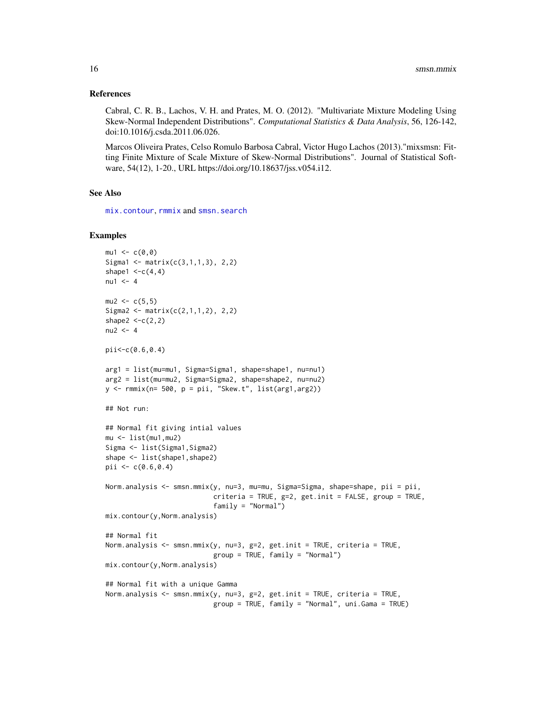### References

Cabral, C. R. B., Lachos, V. H. and Prates, M. O. (2012). "Multivariate Mixture Modeling Using Skew-Normal Independent Distributions". *Computational Statistics & Data Analysis*, 56, 126-142, doi:10.1016/j.csda.2011.06.026.

Marcos Oliveira Prates, Celso Romulo Barbosa Cabral, Victor Hugo Lachos (2013)."mixsmsn: Fitting Finite Mixture of Scale Mixture of Skew-Normal Distributions". Journal of Statistical Software, 54(12), 1-20., URL https://doi.org/10.18637/jss.v054.i12.

### See Also

[mix.contour](#page-5-1), [rmmix](#page-10-1) and [smsn.search](#page-16-1)

```
mu1 < -c(0, 0)Sigma1 <- matrix(c(3,1,1,3), 2,2)
shape1 <-c(4,4)nu1 <-4mu2 < -c(5,5)Sigma2 <- matrix(c(2,1,1,2), 2,2)shape2 <-c(2,2)nu2 < -4pii<-c(0.6,0.4)
arg1 = list(mu=mu1, Sigma=Sigma1, shape=shape1, nu=nu1)
arg2 = list(mu=mu2, Sigma=Sigma2, shape=shape2, nu=nu2)
y \leq r mmix(n= 500, p = \pi i, "Skew.t", list(arg1,arg2))
## Not run:
## Normal fit giving intial values
mu <- list(mu1,mu2)
Sigma <- list(Sigma1,Sigma2)
shape <- list(shape1,shape2)
pii <- c(0.6, 0.4)Norm.analysis <- smsn.mmix(y, nu=3, mu=mu, Sigma=Sigma, shape=shape, pii = pii,
                           criteria = TRUE, g=2, get.init = FALSE, group = TRUE,
                           family = "Normal")
mix.contour(y,Norm.analysis)
## Normal fit
Norm.analysis \leq smsn.mmix(y, nu=3, g=2, get.init = TRUE, criteria = TRUE,
                           group = TRUE, family = "Normal")
mix.contour(y,Norm.analysis)
## Normal fit with a unique Gamma
Norm.analysis <- smsn.mmix(y, nu=3, g=2, get.init = TRUE, criteria = TRUE,
                           group = TRUE, family = "Normal", uni.Gama = TRUE)
```
<span id="page-15-0"></span>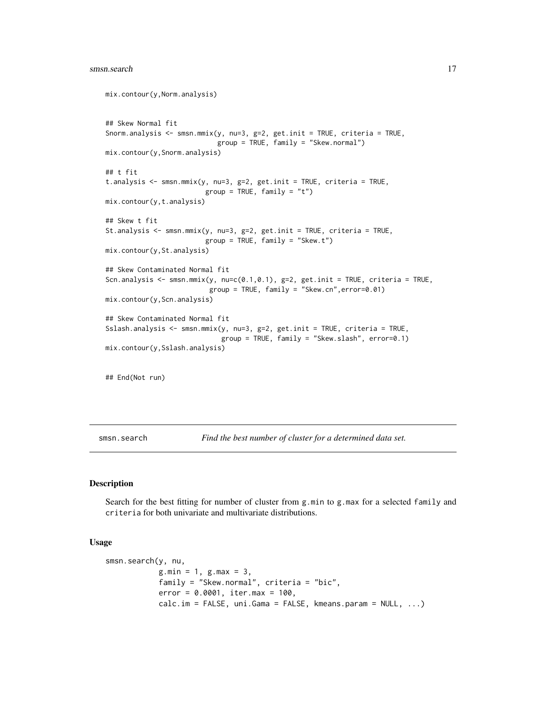#### <span id="page-16-0"></span>smsn.search 17

```
mix.contour(y,Norm.analysis)
## Skew Normal fit
Snorm.analysis <- smsn.mmix(y, nu=3, g=2, get.init = TRUE, criteria = TRUE,
                            group = TRUE, family = "Skew.normal")
mix.contour(y,Snorm.analysis)
## t fit
t.analysis <- smsn.mmix(y, nu=3, g=2, get.init = TRUE, criteria = TRUE,
                         group = TRUE, family = "t")mix.contour(y,t.analysis)
## Skew t fit
St.analysis <- smsn.mmix(y, nu=3, g=2, get.init = TRUE, criteria = TRUE,
                         group = TRUE, family = "Skew.t")
mix.contour(y,St.analysis)
## Skew Contaminated Normal fit
Scn.analysis <- smsn.mmix(y, nu=c(0.1,0.1), g=2, get.init = TRUE, criteria = TRUE,
                          group = TRUE, family = "Skew.cn",error=0.01)
mix.contour(y,Scn.analysis)
## Skew Contaminated Normal fit
Sslash.analysis <- smsn.mmix(y, nu=3, g=2, get.init = TRUE, criteria = TRUE,
                             group = TRUE, family = "Skew.slash", error=0.1)
mix.contour(y,Sslash.analysis)
## End(Not run)
```
<span id="page-16-1"></span>smsn.search *Find the best number of cluster for a determined data set.*

### Description

Search for the best fitting for number of cluster from g.min to g.max for a selected family and criteria for both univariate and multivariate distributions.

#### Usage

```
smsn.search(y, nu,
           g.min = 1, g.max = 3,family = "Skew.normal", criteria = "bic",
           error = 0.0001, iter.max = 100,
           calc.in = FALSE, uni.Gama = FALSE, kmeans.param = NULL, ...)
```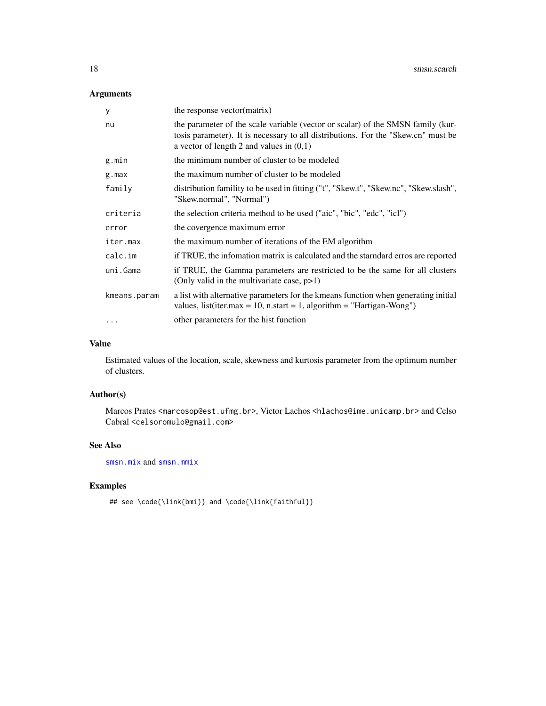### <span id="page-17-0"></span>Arguments

| У            | the response vector(matrix)                                                                                                                                                                                        |
|--------------|--------------------------------------------------------------------------------------------------------------------------------------------------------------------------------------------------------------------|
| nu           | the parameter of the scale variable (vector or scalar) of the SMSN family (kur-<br>tosis parameter). It is necessary to all distributions. For the "Skew.cn" must be<br>a vector of length 2 and values in $(0,1)$ |
| g.min        | the minimum number of cluster to be modeled                                                                                                                                                                        |
| g.max        | the maximum number of cluster to be modeled                                                                                                                                                                        |
| family       | distribution famility to be used in fitting ("t", "Skew.t", "Skew.nc", "Skew.slash",<br>"Skew.normal", "Normal")                                                                                                   |
| criteria     | the selection criteria method to be used ("aic", "bic", "edc", "icl")                                                                                                                                              |
| error        | the covergence maximum error                                                                                                                                                                                       |
| iter.max     | the maximum number of iterations of the EM algorithm                                                                                                                                                               |
| calc.in      | if TRUE, the information matrix is calculated and the starndard erros are reported                                                                                                                                 |
| uni.Gama     | if TRUE, the Gamma parameters are restricted to be the same for all clusters<br>(Only valid in the multivariate case, $p>1$ )                                                                                      |
| kmeans.param | a list with alternative parameters for the kmeans function when generating initial<br>values, list(iter.max = 10, n.start = 1, algorithm = "Hartigan-Wong")                                                        |
| $\ddotsc$    | other parameters for the hist function                                                                                                                                                                             |

### Value

Estimated values of the location, scale, skewness and kurtosis parameter from the optimum number of clusters.

### Author(s)

Marcos Prates <marcosop@est.ufmg.br>, Victor Lachos <hlachos@ime.unicamp.br> and Celso Cabral <celsoromulo@gmail.com>

### See Also

[smsn.mix](#page-11-1) and [smsn.mmix](#page-13-1)

```
## see \code{\link{bmi}} and \code{\link{faithful}}
```